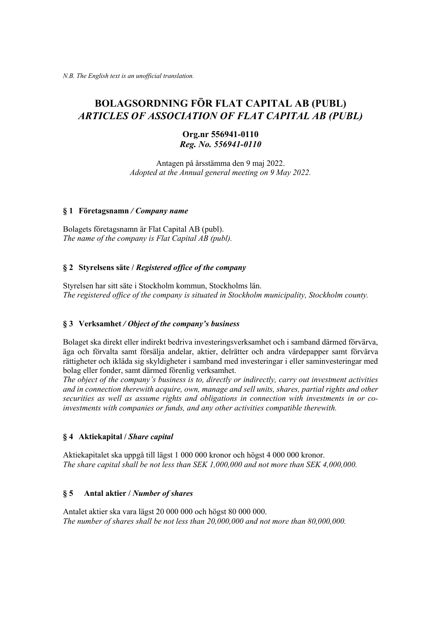# **BOLAGSORDNING FÖR FLAT CAPITAL AB (PUBL)** *ARTICLES OF ASSOCIATION OF FLAT CAPITAL AB (PUBL)*

# **Org.nr 556941-0110** *Reg. No. 556941-0110*

Antagen på årsstämma den 9 maj 2022. *Adopted at the Annual general meeting on 9 May 2022.*

#### **§ 1 Företagsnamn** */ Company name*

Bolagets företagsnamn är Flat Capital AB (publ). *The name of the company is Flat Capital AB (publ).*

## **§ 2 Styrelsens säte /** *Registered office of the company*

Styrelsen har sitt säte i Stockholm kommun, Stockholms län. *The registered office of the company is situated in Stockholm municipality, Stockholm county.*

## **§ 3 Verksamhet** */ Object of the company's business*

Bolaget ska direkt eller indirekt bedriva investeringsverksamhet och i samband därmed förvärva, äga och förvalta samt försälja andelar, aktier, delrätter och andra värdepapper samt förvärva rättigheter och ikläda sig skyldigheter i samband med investeringar i eller saminvesteringar med bolag eller fonder, samt därmed förenlig verksamhet.

*The object of the company's business is to, directly or indirectly, carry out investment activities and in connection therewith acquire, own, manage and sell units, shares, partial rights and other securities as well as assume rights and obligations in connection with investments in or coinvestments with companies or funds, and any other activities compatible therewith.* 

## **§ 4 Aktiekapital /** *Share capital*

Aktiekapitalet ska uppgå till lägst 1 000 000 kronor och högst 4 000 000 kronor. *The share capital shall be not less than SEK 1,000,000 and not more than SEK 4,000,000.* 

## **§ 5 Antal aktier /** *Number of shares*

Antalet aktier ska vara lägst 20 000 000 och högst 80 000 000. *The number of shares shall be not less than 20,000,000 and not more than 80,000,000.*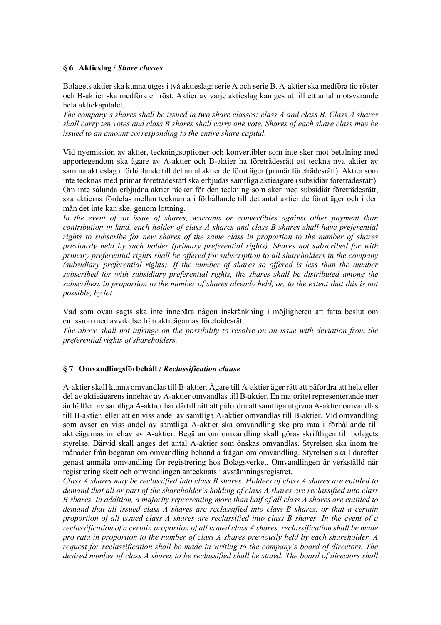## **§ 6 Aktieslag /** *Share classes*

Bolagets aktier ska kunna utges i två aktieslag: serie A och serie B. A-aktier ska medföra tio röster och B-aktier ska medföra en röst. Aktier av varje aktieslag kan ges ut till ett antal motsvarande hela aktiekapitalet.

*The company's shares shall be issued in two share classes: class A and class B. Class A shares shall carry ten votes and class B shares shall carry one vote. Shares of each share class may be issued to an amount corresponding to the entire share capital.*

Vid nyemission av aktier, teckningsoptioner och konvertibler som inte sker mot betalning med apportegendom ska ägare av A-aktier och B-aktier ha företrädesrätt att teckna nya aktier av samma aktieslag i förhållande till det antal aktier de förut äger (primär företrädesrätt). Aktier som inte tecknas med primär företrädesrätt ska erbjudas samtliga aktieägare (subsidiär företrädesrätt). Om inte sålunda erbjudna aktier räcker för den teckning som sker med subsidiär företrädesrätt, ska aktierna fördelas mellan tecknarna i förhållande till det antal aktier de förut äger och i den mån det inte kan ske, genom lottning.

*In the event of an issue of shares, warrants or convertibles against other payment than contribution in kind, each holder of class A shares and class B shares shall have preferential rights to subscribe for new shares of the same class in proportion to the number of shares previously held by such holder (primary preferential rights). Shares not subscribed for with primary preferential rights shall be offered for subscription to all shareholders in the company (subsidiary preferential rights). If the number of shares so offered is less than the number subscribed for with subsidiary preferential rights, the shares shall be distributed among the subscribers in proportion to the number of shares already held, or, to the extent that this is not possible, by lot.*

Vad som ovan sagts ska inte innebära någon inskränkning i möjligheten att fatta beslut om emission med avvikelse från aktieägarnas företrädesrätt.

*The above shall not infringe on the possibility to resolve on an issue with deviation from the preferential rights of shareholders.*

## **§ 7 Omvandlingsförbehåll /** *Reclassification clause*

A-aktier skall kunna omvandlas till B-aktier. Ägare till A-aktier äger rätt att påfordra att hela eller del av aktieägarens innehav av A-aktier omvandlas till B-aktier. En majoritet representerande mer än hälften av samtliga A-aktier har därtill rätt att påfordra att samtliga utgivna A-aktier omvandlas till B-aktier, eller att en viss andel av samtliga A-aktier omvandlas till B-aktier. Vid omvandling som avser en viss andel av samtliga A-aktier ska omvandling ske pro rata i förhållande till aktieägarnas innehav av A-aktier. Begäran om omvandling skall göras skriftligen till bolagets styrelse. Därvid skall anges det antal A-aktier som önskas omvandlas. Styrelsen ska inom tre månader från begäran om omvandling behandla frågan om omvandling. Styrelsen skall därefter genast anmäla omvandling för registrering hos Bolagsverket. Omvandlingen är verkställd när registrering skett och omvandlingen antecknats i avstämningsregistret.

*Class A shares may be reclassified into class B shares. Holders of class A shares are entitled to demand that all or part of the shareholder's holding of class A shares are reclassified into class B shares. In addition, a majority representing more than half of all class A shares are entitled to demand that all issued class A shares are reclassified into class B shares, or that a certain proportion of all issued class A shares are reclassified into class B shares. In the event of a reclassification of a certain proportion of all issued class A shares, reclassification shall be made pro rata in proportion to the number of class A shares previously held by each shareholder. A request for reclassification shall be made in writing to the company's board of directors. The desired number of class A shares to be reclassified shall be stated. The board of directors shall*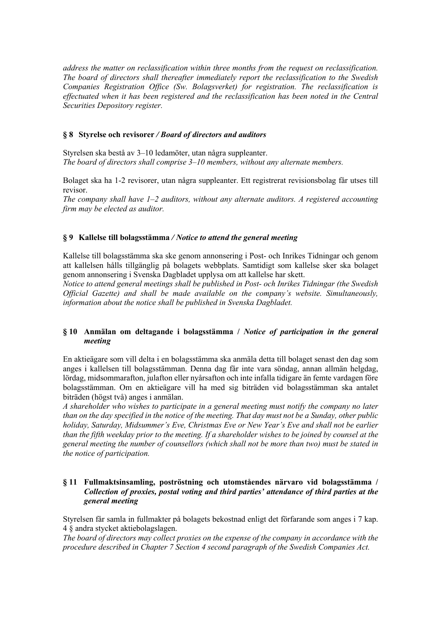*address the matter on reclassification within three months from the request on reclassification. The board of directors shall thereafter immediately report the reclassification to the Swedish Companies Registration Office (Sw. Bolagsverket) for registration. The reclassification is effectuated when it has been registered and the reclassification has been noted in the Central Securities Depository register.*

## **§ 8 Styrelse och revisorer** */ Board of directors and auditors*

Styrelsen ska bestå av 3–10 ledamöter, utan några suppleanter. *The board of directors shall comprise 3–10 members, without any alternate members.*

Bolaget ska ha 1-2 revisorer, utan några suppleanter. Ett registrerat revisionsbolag får utses till revisor.

*The company shall have 1–2 auditors, without any alternate auditors. A registered accounting firm may be elected as auditor.*

## **§ 9 Kallelse till bolagsstämma** */ Notice to attend the general meeting*

Kallelse till bolagsstämma ska ske genom annonsering i Post- och Inrikes Tidningar och genom att kallelsen hålls tillgänglig på bolagets webbplats. Samtidigt som kallelse sker ska bolaget genom annonsering i Svenska Dagbladet upplysa om att kallelse har skett.

*Notice to attend general meetings shall be published in Post- och Inrikes Tidningar (the Swedish Official Gazette) and shall be made available on the company's website. Simultaneously, information about the notice shall be published in Svenska Dagbladet.*

## **§ 10 Anmälan om deltagande i bolagsstämma /** *Notice of participation in the general meeting*

En aktieägare som vill delta i en bolagsstämma ska anmäla detta till bolaget senast den dag som anges i kallelsen till bolagsstämman. Denna dag får inte vara söndag, annan allmän helgdag, lördag, midsommarafton, julafton eller nyårsafton och inte infalla tidigare än femte vardagen före bolagsstämman. Om en aktieägare vill ha med sig biträden vid bolagsstämman ska antalet biträden (högst två) anges i anmälan.

*A shareholder who wishes to participate in a general meeting must notify the company no later than on the day specified in the notice of the meeting. That day must not be a Sunday, other public holiday, Saturday, Midsummer's Eve, Christmas Eve or New Year's Eve and shall not be earlier than the fifth weekday prior to the meeting. If a shareholder wishes to be joined by counsel at the general meeting the number of counsellors (which shall not be more than two) must be stated in the notice of participation.*

## **§ 11 Fullmaktsinsamling, poströstning och utomståendes närvaro vid bolagsstämma /**  *Collection of proxies, postal voting and third parties' attendance of third parties at the general meeting*

Styrelsen får samla in fullmakter på bolagets bekostnad enligt det förfarande som anges i 7 kap. 4 § andra stycket aktiebolagslagen.

*The board of directors may collect proxies on the expense of the company in accordance with the procedure described in Chapter 7 Section 4 second paragraph of the Swedish Companies Act.*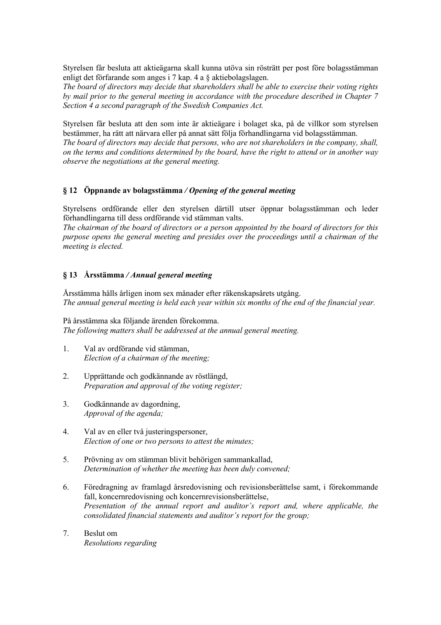Styrelsen får besluta att aktieägarna skall kunna utöva sin rösträtt per post före bolagsstämman enligt det förfarande som anges i 7 kap. 4 a § aktiebolagslagen.

*The board of directors may decide that shareholders shall be able to exercise their voting rights by mail prior to the general meeting in accordance with the procedure described in Chapter 7 Section 4 a second paragraph of the Swedish Companies Act.*

Styrelsen får besluta att den som inte är aktieägare i bolaget ska, på de villkor som styrelsen bestämmer, ha rätt att närvara eller på annat sätt följa förhandlingarna vid bolagsstämman. *The board of directors may decide that persons, who are not shareholders in the company, shall, on the terms and conditions determined by the board, have the right to attend or in another way observe the negotiations at the general meeting.*

# **§ 12 Öppnande av bolagsstämma** */ Opening of the general meeting*

Styrelsens ordförande eller den styrelsen därtill utser öppnar bolagsstämman och leder förhandlingarna till dess ordförande vid stämman valts.

*The chairman of the board of directors or a person appointed by the board of directors for this purpose opens the general meeting and presides over the proceedings until a chairman of the meeting is elected.*

## **§ 13 Årsstämma** */ Annual general meeting*

Årsstämma hålls årligen inom sex månader efter räkenskapsårets utgång. *The annual general meeting is held each year within six months of the end of the financial year.*

På årsstämma ska följande ärenden förekomma. *The following matters shall be addressed at the annual general meeting.*

- 1. Val av ordförande vid stämman, *Election of a chairman of the meeting;*
- 2. Upprättande och godkännande av röstlängd, *Preparation and approval of the voting register;*
- 3. Godkännande av dagordning, *Approval of the agenda;*
- 4. Val av en eller två justeringspersoner, *Election of one or two persons to attest the minutes;*
- 5. Prövning av om stämman blivit behörigen sammankallad, *Determination of whether the meeting has been duly convened;*
- 6. Föredragning av framlagd årsredovisning och revisionsberättelse samt, i förekommande fall, koncernredovisning och koncernrevisionsberättelse, *Presentation of the annual report and auditor's report and, where applicable, the consolidated financial statements and auditor's report for the group;*
- 7. Beslut om *Resolutions regarding*